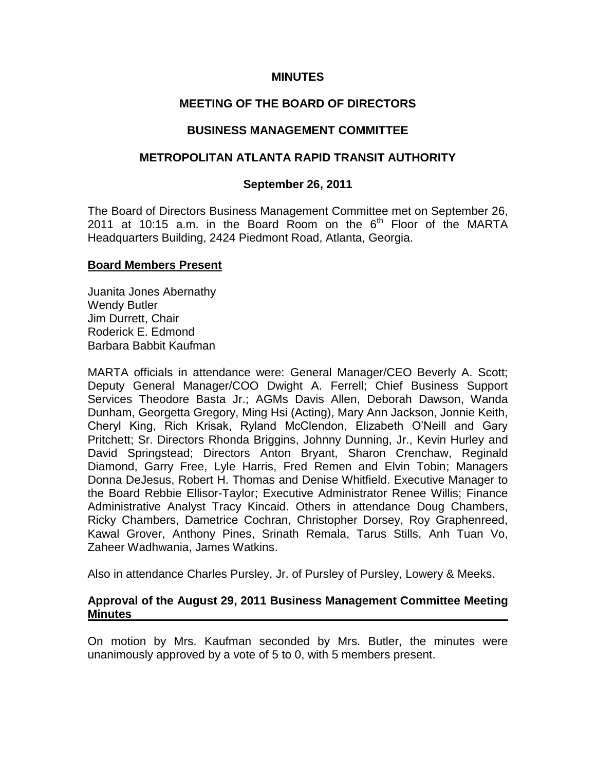### **MINUTES**

# **MEETING OF THE BOARD OF DIRECTORS**

### **BUSINESS MANAGEMENT COMMITTEE**

# **METROPOLITAN ATLANTA RAPID TRANSIT AUTHORITY**

### **September 26, 2011**

The Board of Directors Business Management Committee met on September 26, 2011 at 10:15 a.m. in the Board Room on the  $6<sup>th</sup>$  Floor of the MARTA Headquarters Building, 2424 Piedmont Road, Atlanta, Georgia.

#### **Board Members Present**

Juanita Jones Abernathy Wendy Butler Jim Durrett, Chair Roderick E. Edmond Barbara Babbit Kaufman

MARTA officials in attendance were: General Manager/CEO Beverly A. Scott; Deputy General Manager/COO Dwight A. Ferrell; Chief Business Support Services Theodore Basta Jr.; AGMs Davis Allen, Deborah Dawson, Wanda Dunham, Georgetta Gregory, Ming Hsi (Acting), Mary Ann Jackson, Jonnie Keith, Cheryl King, Rich Krisak, Ryland McClendon, Elizabeth O'Neill and Gary Pritchett; Sr. Directors Rhonda Briggins, Johnny Dunning, Jr., Kevin Hurley and David Springstead; Directors Anton Bryant, Sharon Crenchaw, Reginald Diamond, Garry Free, Lyle Harris, Fred Remen and Elvin Tobin; Managers Donna DeJesus, Robert H. Thomas and Denise Whitfield. Executive Manager to the Board Rebbie Ellisor-Taylor; Executive Administrator Renee Willis; Finance Administrative Analyst Tracy Kincaid. Others in attendance Doug Chambers, Ricky Chambers, Dametrice Cochran, Christopher Dorsey, Roy Graphenreed, Kawal Grover, Anthony Pines, Srinath Remala, Tarus Stills, Anh Tuan Vo, Zaheer Wadhwania, James Watkins.

Also in attendance Charles Pursley, Jr. of Pursley of Pursley, Lowery & Meeks.

### **Approval of the August 29, 2011 Business Management Committee Meeting Minutes**

On motion by Mrs. Kaufman seconded by Mrs. Butler, the minutes were unanimously approved by a vote of 5 to 0, with 5 members present.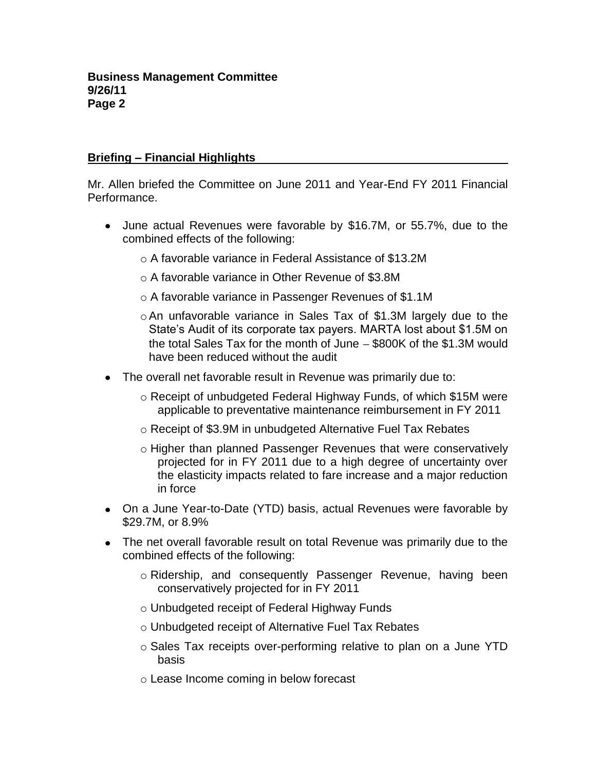# **Briefing – Financial Highlights**

Mr. Allen briefed the Committee on June 2011 and Year-End FY 2011 Financial Performance.

- June actual Revenues were favorable by \$16.7M, or 55.7%, due to the combined effects of the following:
	- o A favorable variance in Federal Assistance of \$13.2M
	- o A favorable variance in Other Revenue of \$3.8M
	- o A favorable variance in Passenger Revenues of \$1.1M
	- oAn unfavorable variance in Sales Tax of \$1.3M largely due to the State's Audit of its corporate tax payers. MARTA lost about \$1.5M on the total Sales Tax for the month of June  $-$  \$800K of the \$1.3M would have been reduced without the audit
- The overall net favorable result in Revenue was primarily due to:
	- o Receipt of unbudgeted Federal Highway Funds, of which \$15M were applicable to preventative maintenance reimbursement in FY 2011
	- o Receipt of \$3.9M in unbudgeted Alternative Fuel Tax Rebates
	- o Higher than planned Passenger Revenues that were conservatively projected for in FY 2011 due to a high degree of uncertainty over the elasticity impacts related to fare increase and a major reduction in force
- On a June Year-to-Date (YTD) basis, actual Revenues were favorable by \$29.7M, or 8.9%
- The net overall favorable result on total Revenue was primarily due to the combined effects of the following:
	- o Ridership, and consequently Passenger Revenue, having been conservatively projected for in FY 2011
	- o Unbudgeted receipt of Federal Highway Funds
	- o Unbudgeted receipt of Alternative Fuel Tax Rebates
	- o Sales Tax receipts over-performing relative to plan on a June YTD basis
	- o Lease Income coming in below forecast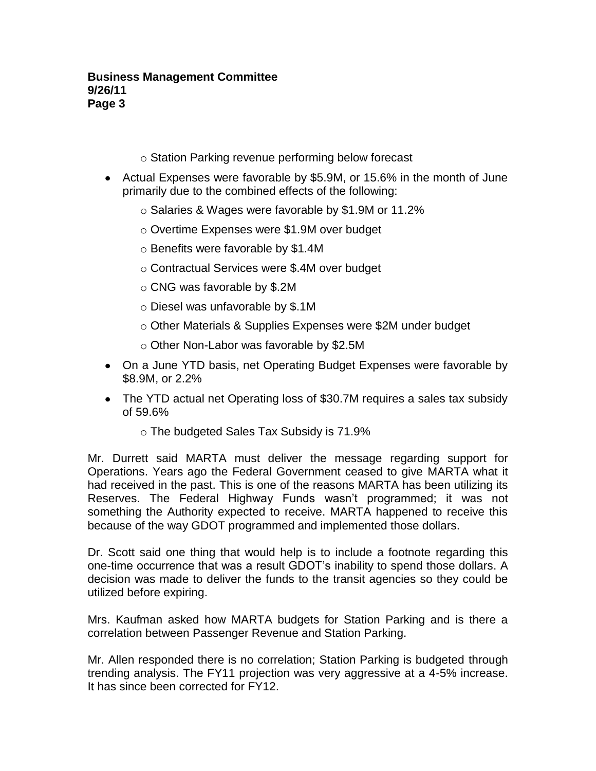### **Business Management Committee 9/26/11 Page 3**

- o Station Parking revenue performing below forecast
- Actual Expenses were favorable by \$5.9M, or 15.6% in the month of June primarily due to the combined effects of the following:
	- o Salaries & Wages were favorable by \$1.9M or 11.2%
	- o Overtime Expenses were \$1.9M over budget
	- o Benefits were favorable by \$1.4M
	- o Contractual Services were \$.4M over budget
	- o CNG was favorable by \$.2M
	- o Diesel was unfavorable by \$.1M
	- o Other Materials & Supplies Expenses were \$2M under budget
	- o Other Non-Labor was favorable by \$2.5M
- On a June YTD basis, net Operating Budget Expenses were favorable by \$8.9M, or 2.2%
- The YTD actual net Operating loss of \$30.7M requires a sales tax subsidy of 59.6%
	- o The budgeted Sales Tax Subsidy is 71.9%

Mr. Durrett said MARTA must deliver the message regarding support for Operations. Years ago the Federal Government ceased to give MARTA what it had received in the past. This is one of the reasons MARTA has been utilizing its Reserves. The Federal Highway Funds wasn't programmed; it was not something the Authority expected to receive. MARTA happened to receive this because of the way GDOT programmed and implemented those dollars.

Dr. Scott said one thing that would help is to include a footnote regarding this one-time occurrence that was a result GDOT's inability to spend those dollars. A decision was made to deliver the funds to the transit agencies so they could be utilized before expiring.

Mrs. Kaufman asked how MARTA budgets for Station Parking and is there a correlation between Passenger Revenue and Station Parking.

Mr. Allen responded there is no correlation; Station Parking is budgeted through trending analysis. The FY11 projection was very aggressive at a 4-5% increase. It has since been corrected for FY12.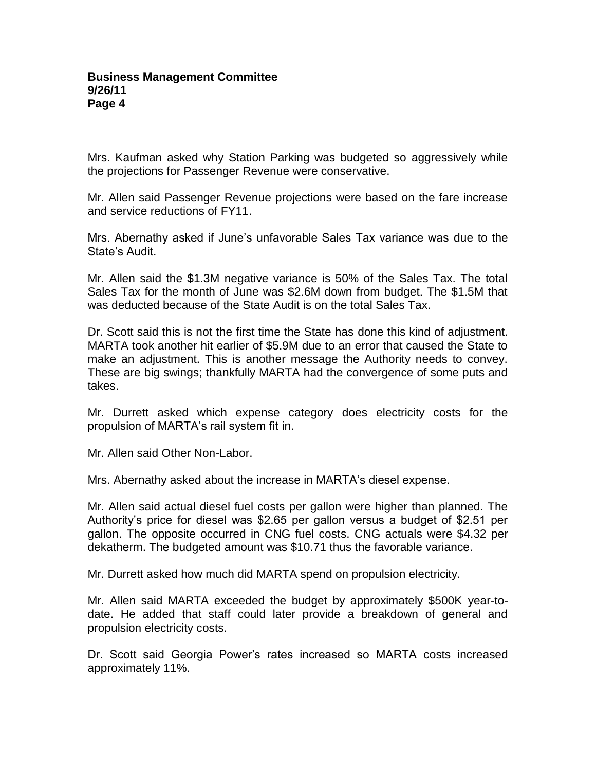Mrs. Kaufman asked why Station Parking was budgeted so aggressively while the projections for Passenger Revenue were conservative.

Mr. Allen said Passenger Revenue projections were based on the fare increase and service reductions of FY11.

Mrs. Abernathy asked if June's unfavorable Sales Tax variance was due to the State's Audit.

Mr. Allen said the \$1.3M negative variance is 50% of the Sales Tax. The total Sales Tax for the month of June was \$2.6M down from budget. The \$1.5M that was deducted because of the State Audit is on the total Sales Tax.

Dr. Scott said this is not the first time the State has done this kind of adjustment. MARTA took another hit earlier of \$5.9M due to an error that caused the State to make an adjustment. This is another message the Authority needs to convey. These are big swings; thankfully MARTA had the convergence of some puts and takes.

Mr. Durrett asked which expense category does electricity costs for the propulsion of MARTA's rail system fit in.

Mr. Allen said Other Non-Labor.

Mrs. Abernathy asked about the increase in MARTA's diesel expense.

Mr. Allen said actual diesel fuel costs per gallon were higher than planned. The Authority's price for diesel was \$2.65 per gallon versus a budget of \$2.51 per gallon. The opposite occurred in CNG fuel costs. CNG actuals were \$4.32 per dekatherm. The budgeted amount was \$10.71 thus the favorable variance.

Mr. Durrett asked how much did MARTA spend on propulsion electricity.

Mr. Allen said MARTA exceeded the budget by approximately \$500K year-todate. He added that staff could later provide a breakdown of general and propulsion electricity costs.

Dr. Scott said Georgia Power's rates increased so MARTA costs increased approximately 11%.